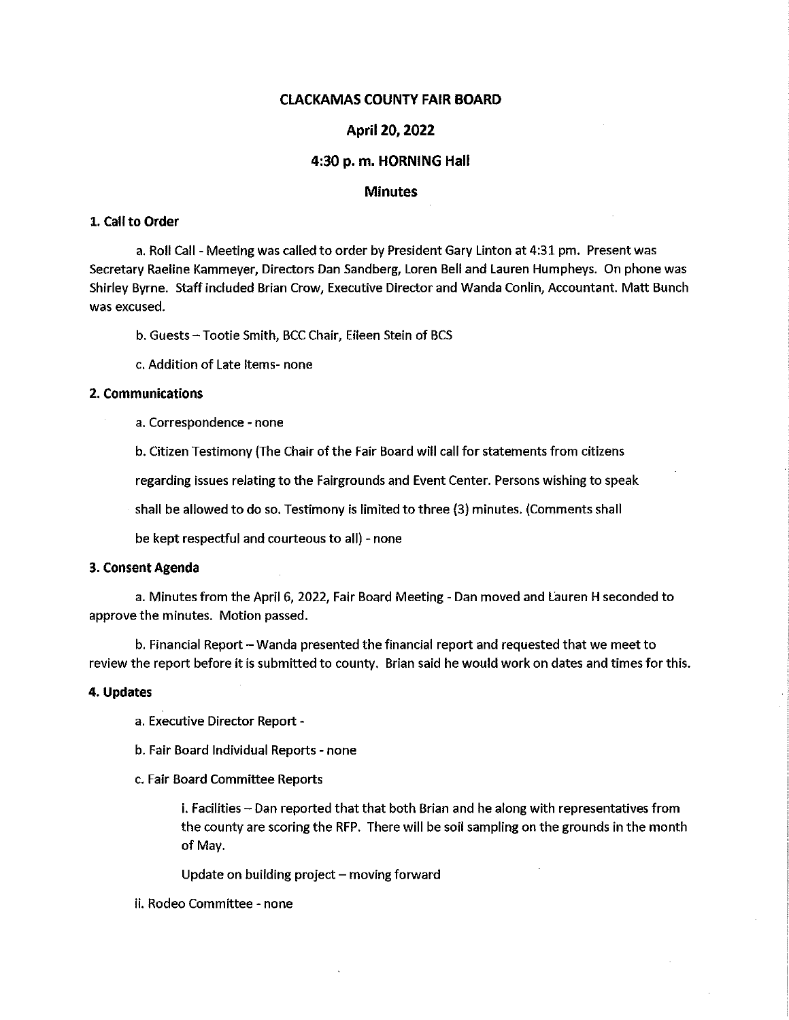# CLACKAMAS COUNTY FAIR BOARD

# April 20,2022

### 4:30 p. m. HORNING Hall

# Minutes

# 1. Call to Order

a. Roll Call - Meeting was called to order by President Gary Linton at 4:31 pm. Present was Secretary Raeline Kammeyer, Directors Dan Sandberg, Loren Bell and Lauren Humpheys. On phone was Shirley Byrne. Staff included Brian Crow, Executive Director and Wanda Conlin, Accountant. Matt Bunch was excused.

b. Guests - Tootie Smith, BCC Chair, Eileen Stein of BCS

c. Addition of Late Items- none

# 2. Communications

a. Correspondence - none

b. Citizen Testimony (The Chair of the Fair Board will call for statements from citizens

regarding issues relating to the Fairgrounds and Event Center. Persons wishing to speak

shall be allowed to do so. Testimony is limited to three (3) minutes. (Comments shall

be kept respectful and courteous to all) - none

#### 3. Consent Agenda

a. Minutes from the April 6, 2022, Fair Board Meeting - Dan moved and Lauren H seconded to approve the minutes. Motion passed.

b. Financial Report - Wanda presented the financial report and requested that we meet to review the report before it is submitted to county. Brian said he would work on dates and times for this.

#### 4. Updates

- a. Executive Director Report -
- b. Fair Board Individual Reports none
- c. Fair Board Committee Reports

i. Facilities - Dan reported that that both Brian and he along with representatives from the county are scoring the RFP. There will be soil sampling on the grounds in the month of May.

Update on building project  $-$  moving forward

#### ii. Rodeo Committee - none